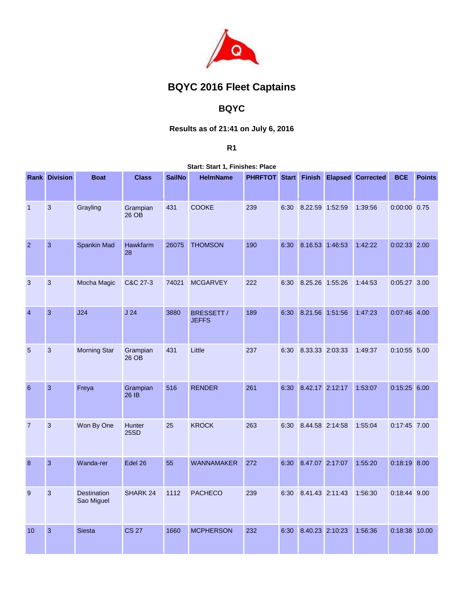

## **BQYC 2016 Fleet Captains**

## **BQYC**

## **Results as of 21:41 on July 6, 2016**

## **R1**

**Start: Start 1, Finishes: Place** 

|                | <b>Rank Division</b> | <b>Boat</b>               | <b>Class</b>          | <b>SailNo</b> | <b>HelmName</b>            | <b>PHRFTOT Start</b> |      | <b>Finish</b>   | <b>Elapsed Corrected</b> | <b>BCE</b>     | <b>Points</b> |
|----------------|----------------------|---------------------------|-----------------------|---------------|----------------------------|----------------------|------|-----------------|--------------------------|----------------|---------------|
| $\overline{1}$ | 3                    | Grayling                  | Grampian<br>26 OB     | 431           | <b>COOKE</b>               | 239                  | 6:30 | 8.22.59 1:52:59 | 1:39:56                  | $0:00:00$ 0.75 |               |
| $\overline{2}$ | 3                    | Spankin Mad               | Hawkfarm<br>28        | 26075         | <b>THOMSON</b>             | 190                  | 6:30 | 8.16.53 1:46:53 | 1:42:22                  | $0:02:33$ 2.00 |               |
| 3              | 3                    | Mocha Magic               | C&C 27-3              | 74021         | <b>MCGARVEY</b>            | 222                  | 6:30 | 8.25.26 1:55:26 | 1:44:53                  | $0:05:27$ 3.00 |               |
| $\overline{4}$ | $\mathbf{3}$         | J24                       | J <sub>24</sub>       | 3880          | BRESSETT /<br><b>JEFFS</b> | 189                  | 6:30 | 8.21.56 1:51:56 | 1:47:23                  | $0:07:46$ 4.00 |               |
| 5              | 3                    | <b>Morning Star</b>       | Grampian<br>26 OB     | 431           | Little                     | 237                  | 6:30 | 8.33.33 2:03:33 | 1:49:37                  | 0:10:55 5.00   |               |
| 6              | 3                    | Freya                     | Grampian<br>26 IB     | 516           | <b>RENDER</b>              | 261                  | 6:30 | 8.42.17 2:12:17 | 1:53:07                  | 0:15:25        | 6.00          |
| $\overline{7}$ | 3                    | Won By One                | Hunter<br><b>25SD</b> | 25            | <b>KROCK</b>               | 263                  | 6:30 | 8.44.58 2:14:58 | 1:55:04                  | $0:17:45$ 7.00 |               |
| 8              | 3                    | Wanda-rer                 | Edel 26               | 55            | WANNAMAKER                 | 272                  | 6:30 | 8.47.07 2:17:07 | 1:55:20                  | $0:18:19$ 8.00 |               |
| 9              | $\mathbf{3}$         | Destination<br>Sao Miguel | SHARK 24              | 1112          | <b>PACHECO</b>             | 239                  | 6:30 | 8.41.43 2:11:43 | 1:56:30                  | 0:18:44 9.00   |               |
| 10             | $\mathbf{3}$         | <b>Siesta</b>             | <b>CS 27</b>          | 1660          | <b>MCPHERSON</b>           | 232                  | 6:30 | 8.40.23 2:10:23 | 1:56:36                  | 0:18:38        | 10.00         |